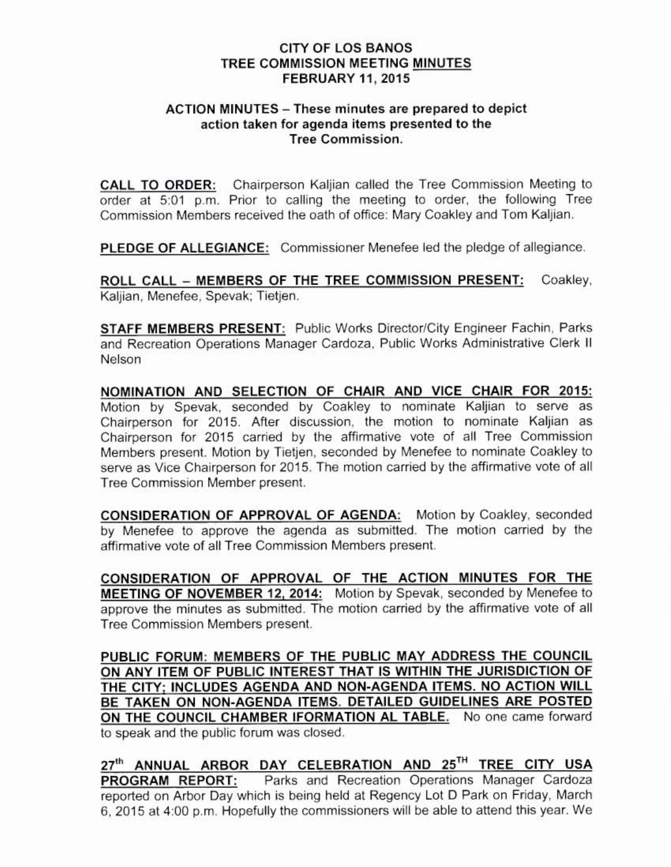## CITY OF LOS BANOS TREE COMMISSION MEETING MINUTES FEBRUARY 11, 2015

## ACTION MINUTES - These minutes are prepared to depict action taken for agenda items presented to the Tree Commission,

CALL TO ORDER: Chairperson Kaljian called the Tree Commission Meeting to order at 5:01 p.m. Prior to calling the meeting to order, the following Tree Commission Members received the oath of office: Mary Coakley and Tom Kaljian.

PLEDGE OF ALLEGIANCE: Commissioner Menefee led the pledge of allegiance.

ROLL CALL - MEMBERS OF THE TREE COMMISSION PRESENT: Coakley, Kalijan, Menefee, Spevak; Tietjen,

STAFF MEMBERS PRESENT: Public Works Director/City Engineer Fachin, Parks and Recreation Operations Manager Cardoza. Public Works Adminisfrative Clerk II Nelson

NOMINATION AND SELECTION OF CHAIR AND VICE CHAIR FOR 2015: Motion by Spevak, seconded by Coakley to nominate Kaljian to serve as Chairperson for 2015. After discussion, the motion to nominate Kaljian as Chairperson for 2015 carried by the affinnative vote of all Tree Commission Members present. Motion by Tietjen. seconded by Menefee to nominate Coakley to serve as Vice Chairperson for 2015. The motion carried by the affirmative vote of all Tree Commission Member present

CONSIDERATION OF APPROVAL OF AGENDA: Motion by Coakley. seconded by Menefee to approve the agenda as submitted. The motion carried by the affirmative vote of all Tree Commission Members present.

CONSIDERATION OF APPROVAL OF THE ACTION MINUTES FOR THE MEETING OF NOVEMBER 12, 2014: Motion by Spevak, seconded by Menefee to approve the minutes as submitted, The motion carried by the affirmative vote of all Tree Commission Members present.

PUBLIC FORUM: MEMBERS OF THE PUBLIC MAY ADDRESS THE COUNCIL ON ANY ITEM OF PUBLIC INTEREST THAT IS WITHIN THE JURISDiCTION OF THE CITY; INCLUDES AGENDA AND NON-AGENDA ITEMS. NO ACTION WILL BE TAKEN ON NON-AGENDA ITEMS. DETAILED GUIDELINES ARE POSTED ON THE COUNCIL CHAMBER lFORMATlON AL TABLE. No one came forward to speak and the public forum was closed.

27<sup>th</sup> ANNUAL ARBOR DAY CELEBRATION AND 25<sup>TH</sup> TREE CITY USA PROGRAM REPORT: Parks and Recreation Operations Manager Cardoza reported on Arbor Day which is being held at Regency Lot 0 Park on Friday, March 6,2015 at400 p,m. Hopefully the commissioners will be able to attend this year. We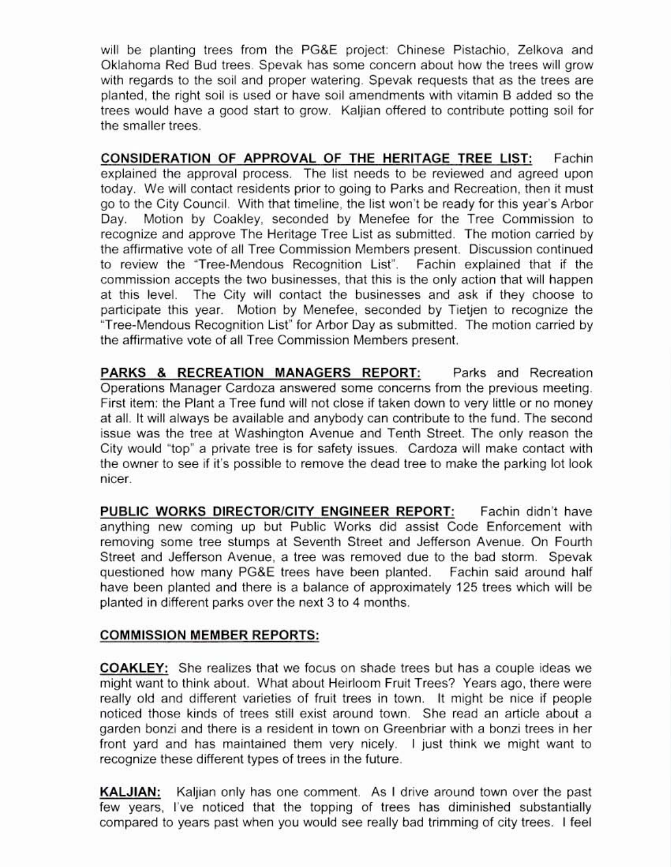will be planting trees from the PG&E project: Chinese Pistachio, Zelkova and Oklahoma Red Bud trees Spevak has some concern about how the trees will grow with regards to the soil and proper watering. Spevak requests that as the trees are planted, the right soil is used or have soil amendments with vitamin B added so the trees would have a good start to grow. Kaljian offered to contribute potting soil for the smaller trees.

CONSIDERATION OF APPROVAL OF THE HERITAGE TREE LIST: Fachin explained the approval process. The list needs to be reviewed and agreed upon today. We will contact residents prior to going to Parks and Recreation, then it must go to the City Council. With that timeline, the list won't be ready for this year's Arbor Day. Motion by Coakley, seconded by Menefee for the Tree Commission to recognize and approve The Heritage Tree List as submitted. The motion carried by the affirmative vote of all Tree Commission Members present. Discussion continued 10 review the "Tree·Mendous Recognition List". Fachin explained that if the commission accepts the two businesses. that this is the only action that will happen at this level. The City will contact the businesses and ask if they choose to participate this year. Motion by Menefee, seconded by Tietien to recognize the "Tree-Mendous Recognition List" for Arbor Day as submitted. The motion carried by the affirmative vote of all Tree Commission Members present

PARKS & RECREATION MANAGERS REPORT: Parks and Recreation Operations Manager Cardoza answered some concems from the previous meeting. First item. the Plant a Tree fund will not close if taken down to very litlle or no *money* at all. It will always be available and anybody can contribute to the fund The second issue was the tree at Washington Avenue and Tenth Street. The only reason the City would "top' a private tree is for safety issues. Cardoza will make contact with the owner to see if it's possible to remove the dead tree to make the parking lot look nicer

PUBLIC WORKS DIRECTOR/CITY ENGINEER REPORT: Fachin didn't have anything new coming up but Public Works did assist Code Enforcement with removing some tree stumps at Seventh Street and Jefferson Avenue. On Fourth Street and Jefferson Avenue, a tree was removed due to the bad storm. Spevak questioned how many PG&E trees have been planted. Fachin said around half have been planted and there is a balance of approximately 125 trees which will be planted in different parks over the next 3 to 4 months.

## COMMISSION MEMBER REPORTS:

COAKLEY: She realizes that we focus on shade trees but has a couple ideas we might want to think about. What about Heirloom Fruit Trees? Years ago, there were really old and different varieties of fruit trees in town. It might be nice if people noticed those kinds of trees still exist around town. She read an article about a garden bonzi and there is a resident in town on Greenbriar with a bonzi trees in her front yard and has maintained them very nicely. I just think we might want to recognize these different types of trees in the future.

KALJIAN: Kaljian only has one comment. As I drive around town over the past few years, I've noticed that the topping of trees has diminished substantially compared to years past when you would see really bad trimming of city trees. I feel